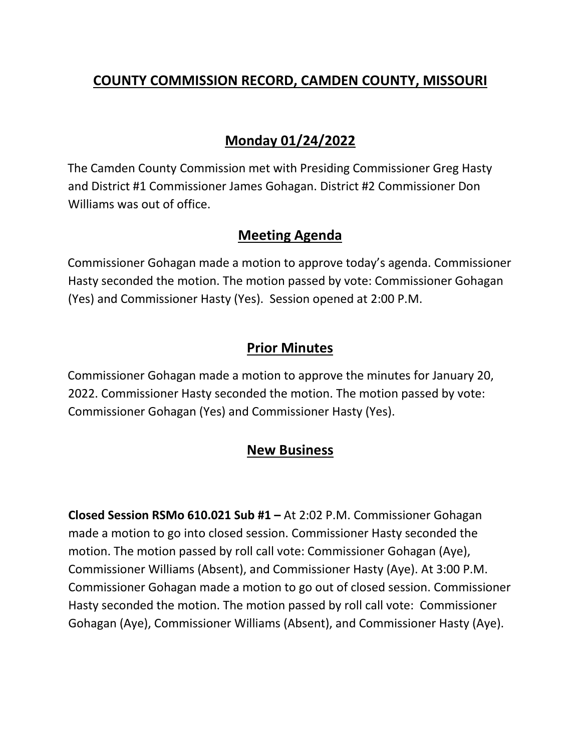# **COUNTY COMMISSION RECORD, CAMDEN COUNTY, MISSOURI**

## **Monday 01/24/2022**

The Camden County Commission met with Presiding Commissioner Greg Hasty and District #1 Commissioner James Gohagan. District #2 Commissioner Don Williams was out of office.

#### **Meeting Agenda**

Commissioner Gohagan made a motion to approve today's agenda. Commissioner Hasty seconded the motion. The motion passed by vote: Commissioner Gohagan (Yes) and Commissioner Hasty (Yes). Session opened at 2:00 P.M.

## **Prior Minutes**

Commissioner Gohagan made a motion to approve the minutes for January 20, 2022. Commissioner Hasty seconded the motion. The motion passed by vote: Commissioner Gohagan (Yes) and Commissioner Hasty (Yes).

## **New Business**

**Closed Session RSMo 610.021 Sub #1 –** At 2:02 P.M. Commissioner Gohagan made a motion to go into closed session. Commissioner Hasty seconded the motion. The motion passed by roll call vote: Commissioner Gohagan (Aye), Commissioner Williams (Absent), and Commissioner Hasty (Aye). At 3:00 P.M. Commissioner Gohagan made a motion to go out of closed session. Commissioner Hasty seconded the motion. The motion passed by roll call vote: Commissioner Gohagan (Aye), Commissioner Williams (Absent), and Commissioner Hasty (Aye).